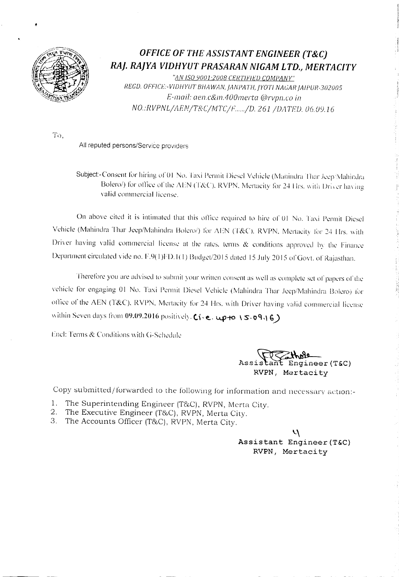

## OFFICE OF THE ASSISTANT ENGINEER (T&C) RAJ. RAJYA VIDHYUT PRASARAN NIGAM LTD., MERTACITY

"AN ISO 9001:2008 CERTIFIED COMPANY" REGD. OFFICE:-VIDHYUT BHAWAN, JANPATH, JYOTI NAGAR JAIPUR-302005 E-mail: aen.c&m.400merta @rvpn.co in NO.:RVPNL/AEN/T&C/MTC/F...../D. 261 /DATED. 06.09.16

To.

All reputed persons/Service providers

Subject:-Consent for hiring of 01 No. Taxi Permit Diesel Vehicle (Manindra Thar Jeep/Mahindra Bolero/) for office of the AEN (T&C), RVPN, Mertacity for 24 Hrs. with Driver having valid commercial license.

On above cited it is intimated that this office required to hire of 01 No. Taxi Permit Diesel Vehicle (Mahindra Thar Jeep/Mahindra Bolero/) for AEN (T&C). RVPN, Mertacity for 24 Hrs. with Driver having valid commercial license at the rates, terms & conditions approved by the Finance Department circulated vide no. F.9(1)FD.1(1) Budget/2015 dated 15 July 2015 of Govt. of Rajasthan.

Therefore you are advised to submit your written consent as well as complete set of papers of the vehicle for engaging 01 No. Taxi Permit Diesel Vehicle (Mahindra Thar Jeep/Mahindra Bolero) for office of the AEN (T&C), RVPN, Mertacity for 24 Hrs. with Driver having valid commercial license within Seven days from 09.09.2016 positively.  $C_1$ , e. up to  $\sqrt{5.0946}$ 

Enel: Terms & Conditions with G-Schedule

Assistant Engineer (T&C) RVPN, Mertacity

Copy submitted/forwarded to the following for information and necessary action:-

- The Superintending Engineer (T&C), RVPN, Merta City.  $1.$
- The Executive Engineer (T&C), RVPN, Merta City.  $2.$
- 3. The Accounts Officer (T&C), RVPN, Merta City.

 $\boldsymbol{\mathcal{U}}$ Assistant Engineer (T&C) RVPN, Mertacity